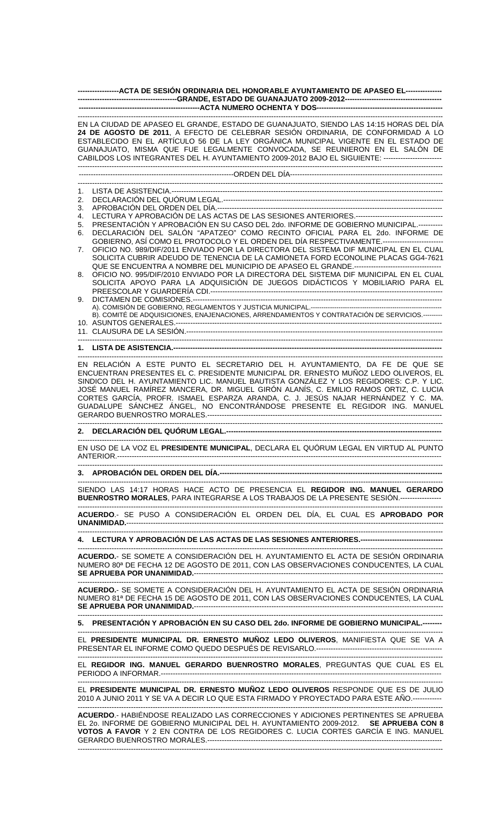| ------------------ACTA DE SESIÓN ORDINARIA DEL HONORABLE AYUNTAMIENTO DE APASEO EL----------------                                                                                                                                                                                                                                                                                                                                                    |                                                                                                                                                                                                                                                                        |  |
|-------------------------------------------------------------------------------------------------------------------------------------------------------------------------------------------------------------------------------------------------------------------------------------------------------------------------------------------------------------------------------------------------------------------------------------------------------|------------------------------------------------------------------------------------------------------------------------------------------------------------------------------------------------------------------------------------------------------------------------|--|
|                                                                                                                                                                                                                                                                                                                                                                                                                                                       |                                                                                                                                                                                                                                                                        |  |
| EN LA CIUDAD DE APASEO EL GRANDE, ESTADO DE GUANAJUATO, SIENDO LAS 14:15 HORAS DEL DÍA<br>24 DE AGOSTO DE 2011, A EFECTO DE CELEBRAR SESIÓN ORDINARIA, DE CONFORMIDAD A LO<br>ESTABLECIDO EN EL ARTÍCULO 56 DE LA LEY ORGÁNICA MUNICIPAL VIGENTE EN EL ESTADO DE<br>GUANAJUATO, MISMA QUE FUE LEGALMENTE CONVOCADA, SE REUNIERON EN EL SALÓN DE<br>CABILDOS LOS INTEGRANTES DEL H. AYUNTAMIENTO 2009-2012 BAJO EL SIGUIENTE: ------------------------ |                                                                                                                                                                                                                                                                        |  |
|                                                                                                                                                                                                                                                                                                                                                                                                                                                       |                                                                                                                                                                                                                                                                        |  |
| $1_{-}$<br>2.                                                                                                                                                                                                                                                                                                                                                                                                                                         |                                                                                                                                                                                                                                                                        |  |
| 3.                                                                                                                                                                                                                                                                                                                                                                                                                                                    |                                                                                                                                                                                                                                                                        |  |
| 4.                                                                                                                                                                                                                                                                                                                                                                                                                                                    |                                                                                                                                                                                                                                                                        |  |
| 5.<br>6.                                                                                                                                                                                                                                                                                                                                                                                                                                              | PRESENTACIÓN Y APROBACIÓN EN SU CASO DEL 2do. INFORME DE GOBIERNO MUNICIPAL.----------<br>DECLARACIÓN DEL SALÓN "APATZEO" COMO RECINTO OFICIAL PARA EL 2do. INFORME DE<br>GOBIERNO, ASÍ COMO EL PROTOCOLO Y EL ORDEN DEL DÍA RESPECTIVAMENTE.------------------------- |  |
| 7.                                                                                                                                                                                                                                                                                                                                                                                                                                                    | OFICIO NO. 989/DIF/2011 ENVIADO POR LA DIRECTORA DEL SISTEMA DIF MUNICIPAL EN EL CUAL<br>SOLICITA CUBRIR ADEUDO DE TENENCIA DE LA CAMIONETA FORD ECONOLINE PLACAS GG4-7621                                                                                             |  |
| 8.                                                                                                                                                                                                                                                                                                                                                                                                                                                    | OFICIO NO. 995/DIF/2010 ENVIADO POR LA DIRECTORA DEL SISTEMA DIF MUNICIPAL EN EL CUAL<br>SOLICITA APOYO PARA LA ADQUISICIÓN DE JUEGOS DIDÁCTICOS Y MOBILIARIO PARA EL                                                                                                  |  |
| 9.                                                                                                                                                                                                                                                                                                                                                                                                                                                    | B). COMITÉ DE ADQUISICIONES, ENAJENACIONES, ARRENDAMIENTOS Y CONTRATACIÓN DE SERVICIOS.---------                                                                                                                                                                       |  |
|                                                                                                                                                                                                                                                                                                                                                                                                                                                       |                                                                                                                                                                                                                                                                        |  |
|                                                                                                                                                                                                                                                                                                                                                                                                                                                       |                                                                                                                                                                                                                                                                        |  |
|                                                                                                                                                                                                                                                                                                                                                                                                                                                       |                                                                                                                                                                                                                                                                        |  |

------------------------------------------------------------------------------------------------------------------------------------------------------- EN RELACIÓN A ESTE PUNTO EL SECRETARIO DEL H. AYUNTAMIENTO, DA FE DE QUE SE ENCUENTRAN PRESENTES EL C. PRESIDENTE MUNICIPAL DR. ERNESTO MUÑOZ LEDO OLIVEROS, EL SINDICO DEL H. AYUNTAMIENTO LIC. MANUEL BAUTISTA GONZÁLEZ Y LOS REGIDORES: C.P. Y LIC. JOSÉ MANUEL RAMÍREZ MANCERA, DR. MIGUEL GIRÓN ALANÍS, C. EMILIO RAMOS ORTIZ, C. LUCIA CORTES GARCÍA, PROFR. ISMAEL ESPARZA ARANDA, C. J. JESÚS NAJAR HERNÁNDEZ Y C. MA. GUADALUPE SÁNCHEZ ÁNGEL, NO ENCONTRÁNDOSE PRESENTE EL REGIDOR ING. MANUEL GERARDO BUENROSTRO MORALES.-------------------------------------------------------------------------------------------------

## **2. DECLARACIÓN DEL QUÓRUM LEGAL.-----------------------------------------------------------------------------------------**

------------------------------------------------------------------------------------------------------------------------------------------------------- EN USO DE LA VOZ EL **PRESIDENTE MUNICIPAL**, DECLARA EL QUÓRUM LEGAL EN VIRTUD AL PUNTO ANTERIOR.-------------------------------------------------------------------------------------------------------------------------------------- -------------------------------------------------------------------------------------------------------------------------------------------------------

-------------------------------------------------------------------------------------------------------------------------------------------------------

**3. APROBACIÓN DEL ORDEN DEL DÍA.--------------------------------------------------------------------------------------------** 

------------------------------------------------------------------------------------------------------------------------------------------------------- SIENDO LAS 14:17 HORAS HACE ACTO DE PRESENCIA EL **REGIDOR ING. MANUEL GERARDO BUENROSTRO MORALES**, PARA INTEGRARSE A LOS TRABAJOS DE LA PRESENTE SESIÓN.-----------------

------------------------------------------------------------------------------------------------------------------------------------------------------- **ACUERDO**.- SE PUSO A CONSIDERACIÓN EL ORDEN DEL DÍA, EL CUAL ES **APROBADO POR UNANIMIDAD.**-----------------------------------------------------------------------------------------------------------------------------------

------------------------------------------------------------------------------------------------------------------------------------------------------- **4. LECTURA Y APROBACIÓN DE LAS ACTAS DE LAS SESIONES ANTERIORES.----**

------------------------------------------------------------------------------------------------------------------------------------------------------- **ACUERDO.**- SE SOMETE A CONSIDERACIÓN DEL H. AYUNTAMIENTO EL ACTA DE SESIÓN ORDINARIA NUMERO 80ª DE FECHA 12 DE AGOSTO DE 2011, CON LAS OBSERVACIONES CONDUCENTES, LA CUAL **SE APRUEBA POR UNANIMIDAD.**-------------------------------------------------------------------------------------------------------

------------------------------------------------------------------------------------------------------------------------------------------------------- **ACUERDO.**- SE SOMETE A CONSIDERACIÓN DEL H. AYUNTAMIENTO EL ACTA DE SESIÓN ORDINARIA NUMERO 81ª DE FECHA 15 DE AGOSTO DE 2011, CON LAS OBSERVACIONES CONDUCENTES, LA CUAL **SE APRUEBA POR UNANIMIDAD.**------------------------------------------------------------------------------------------------------- -------------------------------------------------------------------------------------------------------------------------------------------------------

**5. PRESENTACIÓN Y APROBACIÓN EN SU CASO DEL 2do. INFORME DE GOBIERNO MUNICIPAL.--------** 

------------------------------------------------------------------------------------------------------------------------------------------------------- EL **PRESIDENTE MUNICIPAL DR. ERNESTO MUÑOZ LEDO OLIVEROS**, MANIFIESTA QUE SE VA A PRESENTAR EL INFORME COMO QUEDO DESPUÉS DE REVISARLO.----------------------------------------------------

------------------------------------------------------------------------------------------------------------------------------------------------------- EL **REGIDOR ING. MANUEL GERARDO BUENROSTRO MORALES**, PREGUNTAS QUE CUAL ES EL PERIODO A INFORMAR.--------------------------------------------------------------------------------------------------------------------

------------------------------------------------------------------------------------------------------------------------------------------------------- EL **PRESIDENTE MUNICIPAL DR. ERNESTO MUÑOZ LEDO OLIVEROS** RESPONDE QUE ES DE JULIO 2010 A JUNIO 2011 Y SE VA A DECIR LO QUE ESTA FIRMADO Y PROYECTADO PARA ESTE AÑO.------------

------------------------------------------------------------------------------------------------------------------------------------------------------- **ACUERDO**.- HABIÉNDOSE REALIZADO LAS CORRECCIONES Y ADICIONES PERTINENTES SE APRUEBA EL 2o. INFORME DE GOBIERNO MUNICIPAL DEL H. AYUNTAMIENTO 2009-2012. **SE APRUEBA CON 8 VOTOS A FAVOR** Y 2 EN CONTRA DE LOS REGIDORES C. LUCIA CORTES GARCÍA E ING. MANUEL GERARDO BUENROSTRO MORALES.------------------------------------------------------------------------------------------------- -------------------------------------------------------------------------------------------------------------------------------------------------------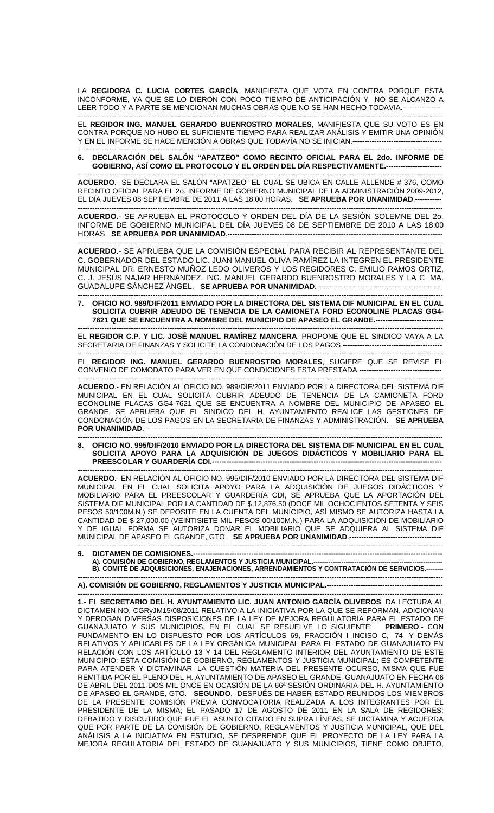LA **REGIDORA C. LUCIA CORTES GARCÍA**, MANIFIESTA QUE VOTA EN CONTRA PORQUE ESTA INCONFORME, YA QUE SE LO DIERON CON POCO TIEMPO DE ANTICIPACIÓN Y NO SE ALCANZO A LEER TODO Y A PARTE SE MENCIONAN MUCHAS OBRAS QUE NO SE HAN HECHO TODAVIA.---------------- -------------------------------------------------------------------------------------------------------------------------------------------------------

EL **REGIDOR ING. MANUEL GERARDO BUENROSTRO MORALES**, MANIFIESTA QUE SU VOTO ES EN CONTRA PORQUE NO HUBO EL SUFICIENTE TIEMPO PARA REALIZAR ANÁLISIS Y EMITIR UNA OPINIÓN Y EN EL INFORME SE HACE MENCIÓN A OBRAS QUE TODAVÍA NO SE INICIAN.-------------------------------------

------------------------------------------------------------------------------------------------------------------------------------------------------- **6. DECLARACIÓN DEL SALÓN "APATZEO" COMO RECINTO OFICIAL PARA EL 2do. INFORME DE**  GOBIERNO, ASÍ COMO EL PROTOCOLO Y EL ORDEN DEL DÍA RESPECTIVAMENTE.---

------------------------------------------------------------------------------------------------------------------------------------------------------- **ACUERDO**.- SE DECLARA EL SALÓN "APATZEO" EL CUAL SE UBICA EN CALLE ALLENDE # 376, COMO RECINTO OFICIAL PARA EL 2o. INFORME DE GOBIERNO MUNICIPAL DE LA ADMINISTRACIÓN 2009-2012, EL DÍA JUEVES 08 SEPTIEMBRE DE 2011 A LAS 18:00 HORAS. **SE APRUEBA POR UNANIMIDAD**.----------- -------------------------------------------------------------------------------------------------------------------------------------------------------

**ACUERDO.**- SE APRUEBA EL PROTOCOLO Y ORDEN DEL DÍA DE LA SESIÓN SOLEMNE DEL 2o. INFORME DE GOBIERNO MUNICIPAL DEL DÍA JUEVES 08 DE SEPTIEMBRE DE 2010 A LAS 18:00 HORAS. **SE APRUEBA POR UNANIMIDAD**.-------------------------------------------------------------------------------------

------------------------------------------------------------------------------------------------------------------------------------------------------- **ACUERDO**.- SE APRUEBA QUE LA COMISIÓN ESPECIAL PARA RECIBIR AL REPRESENTANTE DEL C. GOBERNADOR DEL ESTADO LIC. JUAN MANUEL OLIVA RAMÍREZ LA INTEGREN EL PRESIDENTE MUNICIPAL DR. ERNESTO MUÑOZ LEDO OLIVEROS Y LOS REGIDORES C. EMILIO RAMOS ORTIZ, C. J. JESÚS NAJAR HERNÁNDEZ, ING. MANUEL GERARDO BUENROSTRO MORALES Y LA C. MA. GUADALUPE SÁNCHEZ ÁNGEL. **SE APRUEBA POR UNANIMIDAD**.----------------------------------------------------

------------------------------------------------------------------------------------------------------------------------------------------------------- **7. OFICIO NO. 989/DIF/2011 ENVIADO POR LA DIRECTORA DEL SISTEMA DIF MUNICIPAL EN EL CUAL SOLICITA CUBRIR ADEUDO DE TENENCIA DE LA CAMIONETA FORD ECONOLINE PLACAS GG4- 7621 QUE SE ENCUENTRA A NOMBRE DEL MUNICIPIO DE APASEO EL GRANDE.----------------------------** 

------------------------------------------------------------------------------------------------------------------------------------------------------- EL **REGIDOR C.P. Y LIC. JOSÉ MANUEL RAMÍREZ MANCERA**, PROPONE QUE EL SINDICO VAYA A LA SECRETARIA DE FINANZAS Y SOLICITE LA CONDONACIÓN DE LOS PAGOS.-----------------------------------------

------------------------------------------------------------------------------------------------------------------------------------------------------- EL **REGIDOR ING. MANUEL GERARDO BUENROSTRO MORALES**, SUGIERE QUE SE REVISE EL CONVENIO DE COMODATO PARA VER EN QUE CONDICIONES ESTA PRESTADA.----------------------------------

------------------------------------------------------------------------------------------------------------------------------------------------------- **ACUERDO**.- EN RELACIÓN AL OFICIO NO. 989/DIF/2011 ENVIADO POR LA DIRECTORA DEL SISTEMA DIF MUNICIPAL EN EL CUAL SOLICITA CUBRIR ADEUDO DE TENENCIA DE LA CAMIONETA FORD ECONOLINE PLACAS GG4-7621 QUE SE ENCUENTRA A NOMBRE DEL MUNICIPIO DE APASEO EL GRANDE, SE APRUEBA QUE EL SINDICO DEL H. AYUNTAMIENTO REALICE LAS GESTIONES DE CONDONACIÓN DE LOS PAGOS EN LA SECRETARIA DE FINANZAS Y ADMINISTRACIÓN. **SE APRUEBA POR UNANIMIDAD.------**

------------------------------------------------------------------------------------------------------------------------------------------------------- **8. OFICIO NO. 995/DIF/2010 ENVIADO POR LA DIRECTORA DEL SISTEMA DIF MUNICIPAL EN EL CUAL SOLICITA APOYO PARA LA ADQUISICIÓN DE JUEGOS DIDÁCTICOS Y MOBILIARIO PARA EL**  PREESCOLAR Y GUARDERÍA CDI.--------------------

------------------------------------------------------------------------------------------------------------------------------------------------------- **ACUERDO**.- EN RELACIÓN AL OFICIO NO. 995/DIF/2010 ENVIADO POR LA DIRECTORA DEL SISTEMA DIF MUNICIPAL EN EL CUAL SOLICITA APOYO PARA LA ADQUISICIÓN DE JUEGOS DIDÁCTICOS Y MOBILIARIO PARA EL PREESCOLAR Y GUARDERÍA CDI, SE APRUEBA QUE LA APORTACIÓN DEL SISTEMA DIF MUNICIPAL POR LA CANTIDAD DE \$ 12,876.50 (DOCE MIL OCHOCIENTOS SETENTA Y SEIS PESOS 50/100M.N.) SE DEPOSITE EN LA CUENTA DEL MUNICIPIO, ASÍ MISMO SE AUTORIZA HASTA LA CANTIDAD DE \$ 27,000.00 (VEINTISIETE MIL PESOS 00/100M.N.) PARA LA ADQUISICIÓN DE MOBILIARIO Y DE IGUAL FORMA SE AUTORIZA DONAR EL MOBILIARIO QUE SE ADQUIERA AL SISTEMA DIF MUNICIPAL DE APASEO EL GRANDE, GTO. **SE APRUEBA POR UNANIMIDAD**.--------------------------------------

------------------------------------------------------------------------------------------------------------------------------------------------------- **9. DICTAMEN DE COMISIONES.-A). COMISIÓN DE GOBIERNO, REGLAMENTOS Y JUSTICIA MUNICIPAL.--B). COMITÉ DE ADQUISICIONES, ENAJENACIONES, ARRENDAMIENTOS Y CONTRATACIÓN DE SERVICIOS.---**

------------------------------------------------------------------------------------------------------------------------------------------------------- **A). COMISIÓN DE GOBIERNO, REGLAMENTOS Y JUSTICIA MUNICIPAL.------------------------------------------------** 

------------------------------------------------------------------------------------------------------------------------------------------------------- **1**.- EL **SECRETARIO DEL H. AYUNTAMIENTO LIC. JUAN ANTONIO GARCÍA OLIVEROS**, DA LECTURA AL DICTAMEN NO. CGRyJM15/08/2011 RELATIVO A LA INICIATIVA POR LA QUE SE REFORMAN, ADICIONAN Y DEROGAN DIVERSAS DISPOSICIONES DE LA LEY DE MEJORA REGULATORIA PARA EL ESTADO DE GUANAJUATO Y SUS MUNICIPIOS, EN EL CUAL SE RESUELVE LO SIGUIENTE: **PRIMERO**.- CON FUNDAMENTO EN LO DISPUESTO POR LOS ARTÍCULOS 69, FRACCIÓN I INCISO C, 74 Y DEMÁS RELATIVOS Y APLICABLES DE LA LEY ORGÁNICA MUNICIPAL PARA EL ESTADO DE GUANAJUATO EN RELACIÓN CON LOS ARTÍCULO 13 Y 14 DEL REGLAMENTO INTERIOR DEL AYUNTAMIENTO DE ESTE MUNICIPIO; ESTA COMISIÓN DE GOBIERNO, REGLAMENTOS Y JUSTICIA MUNICIPAL; ES COMPETENTE PARA ATENDER Y DICTAMINAR LA CUESTIÓN MATERIA DEL PRESENTE OCURSO, MISMA QUE FUE REMITIDA POR EL PLENO DEL H. AYUNTAMIENTO DE APASEO EL GRANDE, GUANAJUATO EN FECHA 06 DE ABRIL DEL 2011 DOS MIL ONCE EN OCASIÓN DE LA 66ª SESIÓN ORDINARIA DEL H. AYUNTAMIENTO DE APASEO EL GRANDE, GTO. **SEGUNDO**.- DESPUÉS DE HABER ESTADO REUNIDOS LOS MIEMBROS DE LA PRESENTE COMISIÓN PREVIA CONVOCATORIA REALIZADA A LOS INTEGRANTES POR EL PRESIDENTE DE LA MISMA; EL PASADO 17 DE AGOSTO DE 2011 EN LA SALA DE REGIDORES; DEBATIDO Y DISCUTIDO QUE FUE EL ASUNTO CITADO EN SUPRA LÍNEAS, SE DICTAMINA Y ACUERDA QUE POR PARTE DE LA COMISIÓN DE GOBIERNO, REGLAMENTOS Y JUSTICIA MUNICIPAL, QUE DEL ANÁLISIS A LA INICIATIVA EN ESTUDIO, SE DESPRENDE QUE EL PROYECTO DE LA LEY PARA LA MEJORA REGULATORIA DEL ESTADO DE GUANAJUATO Y SUS MUNICIPIOS, TIENE COMO OBJETO,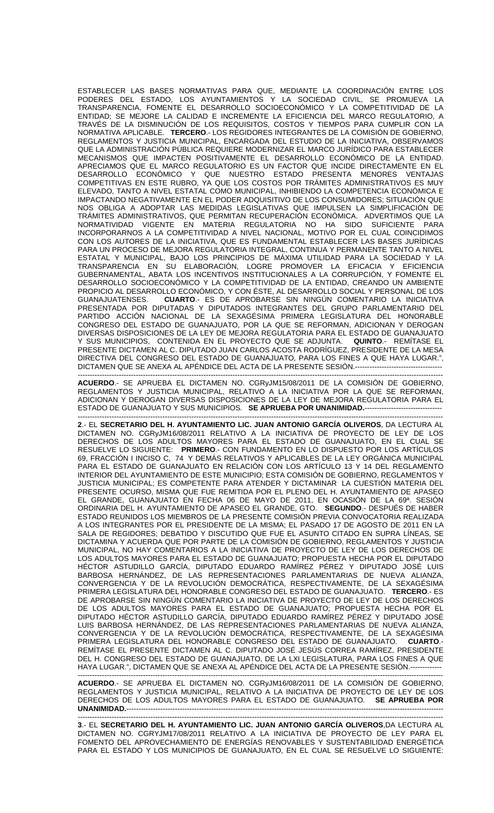ESTABLECER LAS BASES NORMATIVAS PARA QUE, MEDIANTE LA COORDINACIÓN ENTRE LOS PODERES DEL ESTADO, LOS AYUNTAMIENTOS Y LA SOCIEDAD CIVIL, SE PROMUEVA LA TRANSPARENCIA, FOMENTE EL DESARROLLO SOCIOECONÓMICO Y LA COMPETITIVIDAD DE LA ENTIDAD; SE MEJORE LA CALIDAD E INCREMENTE LA EFICIENCIA DEL MARCO REGULATORIO, A TRAVÉS DE LA DISMINUCIÓN DE LOS REQUISITOS, COSTOS Y TIEMPOS PARA CUMPLIR CON LA NORMATIVA APLICABLE. **TERCERO**.- LOS REGIDORES INTEGRANTES DE LA COMISIÓN DE GOBIERNO, REGLAMENTOS Y JUSTICIA MUNICIPAL, ENCARGADA DEL ESTUDIO DE LA INICIATIVA, OBSERVAMOS QUE LA ADMINISTRACIÓN PÚBLICA REQUIERE MODERNIZAR EL MARCO JURÍDICO PARA ESTABLECER MECANISMOS QUE IMPACTEN POSITIVAMENTE EL DESARROLLO ECONÓMICO DE LA ENTIDAD. APRECIAMOS QUE EL MARCO REGULATORIO ES UN FACTOR QUE INCIDE DIRECTAMENTE EN EL DESARROLLO ECONÓMICO Y QUE NUESTRO ESTADO PRESENTA MENORES VENTAJAS COMPETITIVAS EN ESTE RUBRO, YA QUE LOS COSTOS POR TRÁMITES ADMINISTRATIVOS ES MUY ELEVADO, TANTO A NIVEL ESTATAL COMO MUNICIPAL, INHIBIENDO LA COMPETENCIA ECONÓMICA E IMPACTANDO NEGATIVAMENTE EN EL PODER ADQUISITIVO DE LOS CONSUMIDORES; SITUACIÓN QUE NOS OBLIGA A ADOPTAR LAS MEDIDAS LEGISLATIVAS QUE IMPULSEN LA SIMPLIFICACIÓN DE TRÁMITES ADMINISTRATIVOS, QUE PERMITAN RECUPERACIÓN ECONÓMICA. ADVERTIMOS QUE LA NORMATIVIDAD VIGENTE EN MATERIA REGULATORIA NO HA SIDO SUFICIENTE PARA INCORPORARNOS A LA COMPETITIVIDAD A NIVEL NACIONAL, MOTIVO POR EL CUAL COINCIDIMOS CON LOS AUTORES DE LA INICIATIVA, QUE ES FUNDAMENTAL ESTABLECER LAS BASES JURÍDICAS PARA UN PROCESO DE MEJORA REGULATORIA INTEGRAL, CONTINUA Y PERMANENTE TANTO A NIVEL ESTATAL Y MUNICIPAL, BAJO LOS PRINCIPIOS DE MÁXIMA UTILIDAD PARA LA SOCIEDAD Y LA TRANSPARENCIA EN SU ELABORACIÓN, LOGRE PROMOVER LA EFICACIA Y EFICIENCIA GUBERNAMENTAL, ABATA LOS INCENTIVOS INSTITUCIONALES A LA CORRUPCIÓN, Y FOMENTE EL DESARROLLO SOCIOECONÓMICO Y LA COMPETITIVIDAD DE LA ENTIDAD, CREANDO UN AMBIENTE PROPICIO AL DESARROLLO ECONÓMICO, Y CON ÉSTE, AL DESARROLLO SOCIAL Y PERSONAL DE LOS GUANAJUATENSES. **CUARTO**.- ES DE APROBARSE SIN NINGÚN COMENTARIO LA INICIATIVA PRESENTADA POR DIPUTADAS Y DIPUTADOS INTEGRANTES DEL GRUPO PARLAMENTARIO DEL PARTIDO ACCIÓN NACIONAL DE LA SEXAGÉSIMA PRIMERA LEGISLATURA DEL HONORABLE CONGRESO DEL ESTADO DE GUANAJUATO, POR LA QUE SE REFORMAN, ADICIONAN Y DEROGAN DIVERSAS DISPOSICIONES DE LA LEY DE MEJORA REGULATORIA PARA EL ESTADO DE GUANAJUATO<br>Y SUS MUNICIPIOS, CONTENIDA EN EL PROYECTO QUE SE ADJUNTA. QUINTO.- REMÍTASE EL Y SUS MUNICIPIOS, CONTENIDA EN EL PROYECTO QUE SE ADJUNTA. PRESENTE DICTAMEN AL C. DIPUTADO JUAN CARLOS ACOSTA RODRÍGUEZ, PRESIDENTE DE LA MESA DIRECTIVA DEL CONGRESO DEL ESTADO DE GUANAJUATO, PARA LOS FINES A QUE HAYA LUGAR.", DICTAMEN QUE SE ANEXA AL APÉNDICE DEL ACTA DE LA PRESENTE SESIÓN.----

------------------------------------------------------------------------------------------------------------------------------------------------------- **ACUERDO**.- SE APRUEBA EL DICTAMEN NO. CGRyJM15/08/2011 DE LA COMISIÓN DE GOBIERNO, REGLAMENTOS Y JUSTICIA MUNICIPAL, RELATIVO A LA INICIATIVA POR LA QUE SE REFORMAN, ADICIONAN Y DEROGAN DIVERSAS DISPOSICIONES DE LA LEY DE MEJORA REGULATORIA PARA EL ESTADO DE GUANAJUATO Y SUS MUNICIPIOS. **SE APRUEBA POR UNANIMIDAD.**--------------------------------

------------------------------------------------------------------------------------------------------------------------------------------------------- **2**.- EL **SECRETARIO DEL H. AYUNTAMIENTO LIC. JUAN ANTONIO GARCÍA OLIVEROS**, DA LECTURA AL DICTAMEN NO. CGRyJM16/08/2011 RELATIVO A LA INICIATIVA DE PROYECTO DE LEY DE LOS DERECHOS DE LOS ADULTOS MAYORES PARA EL ESTADO DE GUANAJUATO, EN EL CUAL SE RESUELVE LO SIGUIENTE: **PRIMERO**.- CON FUNDAMENTO EN LO DISPUESTO POR LOS ARTÍCULOS 69, FRACCIÓN I INCISO C, 74 Y DEMÁS RELATIVOS Y APLICABLES DE LA LEY ORGÁNICA MUNICIPAL PARA EL ESTADO DE GUANAJUATO EN RELACIÓN CON LOS ARTÍCULO 13 Y 14 DEL REGLAMENTO INTERIOR DEL AYUNTAMIENTO DE ESTE MUNICIPIO; ESTA COMISIÓN DE GOBIERNO, REGLAMENTOS Y JUSTICIA MUNICIPAL; ES COMPETENTE PARA ATENDER Y DICTAMINAR LA CUESTIÓN MATERIA DEL PRESENTE OCURSO, MISMA QUE FUE REMITIDA POR EL PLENO DEL H. AYUNTAMIENTO DE APASEO EL GRANDE, GUANAJUATO EN FECHA 06 DE MAYO DE 2011, EN OCASIÓN DE LA 69ª. SESIÓN ORDINARIA DEL H. AYUNTAMIENTO DE APASEO EL GRANDE, GTO. **SEGUNDO**.- DESPUÉS DE HABER ESTADO REUNIDOS LOS MIEMBROS DE LA PRESENTE COMISIÓN PREVIA CONVOCATORIA REALIZADA A LOS INTEGRANTES POR EL PRESIDENTE DE LA MISMA; EL PASADO 17 DE AGOSTO DE 2011 EN LA SALA DE REGIDORES; DEBATIDO Y DISCUTIDO QUE FUE EL ASUNTO CITADO EN SUPRA LÍNEAS, SE DICTAMINA Y ACUERDA QUE POR PARTE DE LA COMISIÓN DE GOBIERNO, REGLAMENTOS Y JUSTICIA MUNICIPAL, NO HAY COMENTARIOS A LA INICIATIVA DE PROYECTO DE LEY DE LOS DERECHOS DE LOS ADULTOS MAYORES PARA EL ESTADO DE GUANAJUATO; PROPUESTA HECHA POR EL DIPUTADO HÉCTOR ASTUDILLO GARCÍA, DIPUTADO EDUARDO RAMÍREZ PÉREZ Y DIPUTADO JOSÉ LUIS BARBOSA HERNÁNDEZ, DE LAS REPRESENTACIONES PARLAMENTARIAS DE NUEVA ALIANZA, CONVERGENCIA Y DE LA REVOLUCIÓN DEMOCRÁTICA, RESPECTIVAMENTE, DE LA SEXAGÉSIMA PRIMERA LEGISLATURA DEL HONORABLE CONGRESO DEL ESTADO DE GUANAJUATO. **TERCERO**.- ES DE APROBARSE SIN NINGÚN COMENTARIO LA INICIATIVA DE PROYECTO DE LEY DE LOS DERECHOS DE LOS ADULTOS MAYORES PARA EL ESTADO DE GUANAJUATO; PROPUESTA HECHA POR EL DIPUTADO HÉCTOR ASTUDILLO GARCÍA, DIPUTADO EDUARDO RAMÍREZ PÉREZ Y DIPUTADO JOSÉ LUIS BARBOSA HERNÁNDEZ, DE LAS REPRESENTACIONES PARLAMENTARIAS DE NUEVA ALIANZA, CONVERGENCIA Y DE LA REVOLUCIÓN DEMOCRÁTICA, RESPECTIVAMENTE, DE LA SEXAGÉSIMA<br>PRIMERA LEGISLATURA DEL HONORABLE CONGRESO DEL ESTADO DE GUANAJUATO. CUARTO.-PRIMERA LEGISLATURA DEL HONORABLE CONGRESO DEL ESTADO DE GUANAJUATO. **CUARTO**.- REMÍTASE EL PRESENTE DICTAMEN AL C. DIPUTADO JOSÉ JESÚS CORREA RAMÍREZ, PRESIDENTE DEL H. CONGRESO DEL ESTADO DE GUANAJUATO, DE LA LXI LEGISLATURA, PARA LOS FINES A QUE HAYA LUGAR.", DICTAMEN QUE SE ANEXA AL APÉNDICE DEL ACTA DE LA PRESENTE SESIÓN.---

------------------------------------------------------------------------------------------------------------------------------------------------------- **ACUERDO**.- SE APRUEBA EL DICTAMEN NO. CGRyJM16/08/2011 DE LA COMISIÓN DE GOBIERNO, REGLAMENTOS Y JUSTICIA MUNICIPAL, RELATIVO A LA INICIATIVA DE PROYECTO DE LEY DE LOS DERECHOS DE LOS ADULTOS MAYORES PARA EL ESTADO DE GUANAJUATO. **SE APRUEBA POR**  UNANIMIDAD.------------

------------------------------------------------------------------------------------------------------------------------------------------------------- **3**.- EL **SECRETARIO DEL H. AYUNTAMIENTO LIC. JUAN ANTONIO GARCÍA OLIVEROS**,DA LECTURA AL DICTAMEN NO. CGRYJM17/08/2011 RELATIVO A LA INICIATIVA DE PROYECTO DE LEY PARA EL FOMENTO DEL APROVECHAMIENTO DE ENERGÍAS RENOVABLES Y SUSTENTABILIDAD ENERGÉTICA PARA EL ESTADO Y LOS MUNICIPIOS DE GUANAJUATO, EN EL CUAL SE RESUELVE LO SIGUIENTE: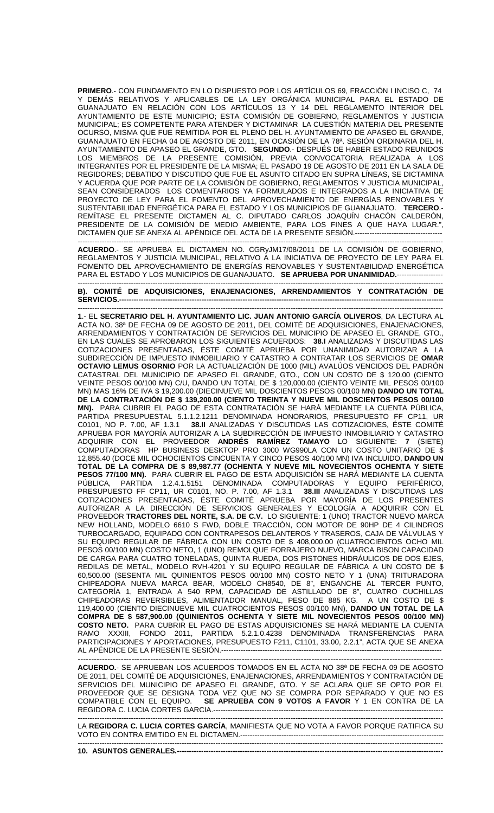**PRIMERO**.- CON FUNDAMENTO EN LO DISPUESTO POR LOS ARTÍCULOS 69, FRACCIÓN I INCISO C, 74 Y DEMÁS RELATIVOS Y APLICABLES DE LA LEY ORGÁNICA MUNICIPAL PARA EL ESTADO DE GUANAJUATO EN RELACIÓN CON LOS ARTÍCULOS 13 Y 14 DEL REGLAMENTO INTERIOR DEL AYUNTAMIENTO DE ESTE MUNICIPIO; ESTA COMISIÓN DE GOBIERNO, REGLAMENTOS Y JUSTICIA MUNICIPAL; ES COMPETENTE PARA ATENDER Y DICTAMINAR LA CUESTIÓN MATERIA DEL PRESENTE OCURSO, MISMA QUE FUE REMITIDA POR EL PLENO DEL H. AYUNTAMIENTO DE APASEO EL GRANDE, GUANAJUATO EN FECHA 04 DE AGOSTO DE 2011, EN OCASIÓN DE LA 78ª. SESIÓN ORDINARIA DEL H. AYUNTAMIENTO DE APASEO EL GRANDE, GTO. **SEGUNDO**.- DESPUÉS DE HABER ESTADO REUNIDOS LOS MIEMBROS DE LA PRESENTE COMISIÓN, PREVIA CONVOCATORIA REALIZADA A LOS INTEGRANTES POR EL PRESIDENTE DE LA MISMA; EL PASADO 19 DE AGOSTO DE 2011 EN LA SALA DE REGIDORES; DEBATIDO Y DISCUTIDO QUE FUE EL ASUNTO CITADO EN SUPRA LÍNEAS, SE DICTAMINA Y ACUERDA QUE POR PARTE DE LA COMISION DE GOBIERNO, REGLAMENTOS Y JUSTICIA MUNICIPAL, SEAN CONSIDERADOS LOS COMENTARIOS YA FORMULADOS E INTEGRADOS A LA INICIATIVA DE PROYECTO DE LEY PARA EL FOMENTO DEL APROVECHAMIENTO DE ENERGÍAS RENOVABLES Y SUSTENTABILIDAD ENERGÉTICA PARA EL ESTADO Y LOS MUNICIPIOS DE GUANAJUATO. **TERCERO**.- REMÍTASE EL PRESENTE DICTAMEN AL C. DIPUTADO CARLOS JOAQUÍN CHACÓN CALDERÓN, PRESIDENTE DE LA COMISIÓN DE MEDIO AMBIENTE, PARA LOS FINES A QUE HAYA LUGAR.", DICTAMEN QUE SE ANEXA AL APÉNDICE DEL ACTA DE LA PRESENTE SESIÓN.------------------------------------

------------------------------------------------------------------------------------------------------------------------------------------------------- **ACUERDO**.- SE APRUEBA EL DICTAMEN NO. CGRyJM17/08/2011 DE LA COMISIÓN DE GOBIERNO, REGLAMENTOS Y JUSTICIA MUNICIPAL, RELATIVO A LA INICIATIVA DE PROYECTO DE LEY PARA EL FOMENTO DEL APROVECHAMIENTO DE ENERGÍAS RENOVABLES Y SUSTENTABILIDAD ENERGÉTICA PARA EL ESTADO Y LOS MUNICIPIOS DE GUANAJUATO. **SE APRUEBA POR UNANIMIDAD.**------------------- -------------------------------------------------------------------------------------------------------------------------------------------------------

## **B). COMITÉ DE ADQUISICIONES, ENAJENACIONES, ARRENDAMIENTOS Y CONTRATACIÓN DE SERVICIOS.--------------------------------------------------------------------------------------------------------------------------------------**

------------------------------------------------------------------------------------------------------------------------------------------------------- **1**.- EL **SECRETARIO DEL H. AYUNTAMIENTO LIC. JUAN ANTONIO GARCÍA OLIVEROS**, DA LECTURA AL ACTA NO. 38ª DE FECHA 09 DE AGOSTO DE 2011, DEL COMITÉ DE ADQUISICIONES, ENAJENACIONES, ARRENDAMIENTOS Y CONTRATACIÓN DE SERVICIOS DEL MUNICIPIO DE APASEO EL GRANDE, GTO., EN LAS CUALES SE APROBARON LOS SIGUIENTES ACUERDOS: **38.I** ANALIZADAS Y DISCUTIDAS LAS COTIZACIONES PRESENTADAS, ÉSTE COMITÉ APRUEBA POR UNANIMIDAD AUTORIZAR A LA SUBDIRECCIÓN DE IMPUESTO INMOBILIARIO Y CATASTRO A CONTRATAR LOS SERVICIOS DE **OMAR OCTAVIO LEMUS OSORNIO** POR LA ACTUALIZACIÓN DE 1000 (MIL) AVALÚOS VENCIDOS DEL PADRÓN CATASTRAL DEL MUNICIPIO DE APASEO EL GRANDE, GTO., CON UN COSTO DE \$ 120.00 (CIENTO VEINTE PESOS 00/100 MN) C/U, DANDO UN TOTAL DE \$ 120,000.00 (CIENTO VEINTE MIL PESOS 00/100 MN) MAS 16% DE IVA \$ 19,200.00 (DIECINUEVE MIL DOSCIENTOS PESOS 00/100 MN) **DANDO UN TOTAL DE LA CONTRATACIÓN DE \$ 139,200.00 (CIENTO TREINTA Y NUEVE MIL DOSCIENTOS PESOS 00/100 MN).** PARA CUBRIR EL PAGO DE ESTA CONTRATACIÓN SE HARÁ MEDIANTE LA CUENTA PÚBLICA, PARTIDA PRESUPUESTAL 5.1.1.2.1211 DENOMINADA HONORARIOS, PRESUPUESTO FF CP11, UR C0101, NO P. 7.00, AF 1.3.1 **38.II** ANALIZADAS Y DISCUTIDAS LAS COTIZACIONES, ÉSTE COMITÉ APRUEBA POR MAYORÍA AUTORIZAR A LA SUBDIRECCIÓN DE IMPUESTO INMOBILIARIO Y CATASTRO ADQUIRIR CON EL PROVEEDOR **ANDRÉS RAMÍREZ TAMAYO** LO SIGUIENTE: **7** (SIETE) COMPUTADORAS HP BUSINESS DESKTOP PRO 3000 WG990LA CON UN COSTO UNITARIO DE \$ 12,855.40 (DOCE MIL OCHOCIENTOS CINCUENTA Y CINCO PESOS 40/100 MN) IVA INCLUIDO, **DANDO UN TOTAL DE LA COMPRA DE \$ 89,987.77 (OCHENTA Y NUEVE MIL NOVECIENTOS OCHENTA Y SIETE PESOS 77/100 MN).** PARA CUBRIR EL PAGO DE ESTA ADQUISICIÓN SE HARÁ MEDIANTE LA CUENTA PÚBLICA, PARTIDA 1.2.4.1.5151 DENOMINADA COMPUTADORAS Y EQUIPO PERIFÉRICO, PRESUPUESTO FF CP11, UR C0101, NO. P. 7.00, AF 1.3.1 **38.III** ANALIZADAS Y DISCUTIDAS LAS COTIZACIONES PRESENTADAS, ÉSTE COMITÉ APRUEBA POR MAYORÍA DE LOS PRESENTES AUTORIZAR A LA DIRECCIÓN DE SERVICIOS GENERALES Y ECOLOGÍA A ADQUIRIR CON EL PROVEEDOR **TRACTORES DEL NORTE, S.A. DE C.V.** LO SIGUIENTE: 1 (UNO) TRACTOR NUEVO MARCA NEW HOLLAND, MODELO 6610 S FWD, DOBLE TRACCIÓN, CON MOTOR DE 90HP DE 4 CILINDROS TURBOCARGADO, EQUIPADO CON CONTRAPESOS DELANTEROS Y TRASEROS, CAJA DE VÁLVULAS Y SU EQUIPO REGULAR DE FÁBRICA CON UN COSTO DE \$ 408,000.00 (CUATROCIENTOS OCHO MIL PESOS 00/100 MN) COSTO NETO, 1 (UNO) REMOLQUE FORRAJERO NUEVO, MARCA BISON CAPACIDAD DE CARGA PARA CUATRO TONELADAS, QUINTA RUEDA, DOS PISTONES HIDRÁULICOS DE DOS EJES, REDILAS DE METAL, MODELO RVH-4201 Y SU EQUIPO REGULAR DE FÁBRICA A UN COSTO DE \$ 60,500.00 (SESENTA MIL QUINIENTOS PESOS 00/100 MN) COSTO NETO Y 1 (UNA) TRITURADORA CHIPEADORA NUEVA MARCA BEAR, MODELO CH8540, DE 8", ENGANCHE AL TERCER PUNTO, CATEGORÍA 1, ENTRADA A 540 RPM, CAPACIDAD DE ASTILLADO DE 8", CUATRO CUCHILLAS CHIPEADORAS REVERSIBLES, ALIMENTADOR MANUAL, PESO DE 885 KG. A UN COSTO DE \$ 119,400.00 (CIENTO DIECINUEVE MIL CUATROCIENTOS PESOS 00/100 MN), **DANDO UN TOTAL DE LA COMPRA DE \$ 587,900.00 (QUINIENTOS OCHENTA Y SIETE MIL NOVECIENTOS PESOS 00/100 MN) COSTO NETO.** PARA CUBRIR EL PAGO DE ESTAS ADQUISICIONES SE HARÁ MEDIANTE LA CUENTA RAMO XXXIII, FONDO 2011, PARTIDA 5.2.1.0.4238 DENOMINADA TRANSFERENCIAS PARA PARTICIPACIONES Y APORTACIONES, PRESUPUESTO F211, C1101, 33.00, 2.2.1", ACTA QUE SE ANEXA AL APÉNDICE DE LA PRESENTE SESIÓN.-------------------------------------------------------------------------------------------

---------------------------------------------------------------------------------------------------------------------------------------- **ACUERDO.**- SE APRUEBAN LOS ACUERDOS TOMADOS EN EL ACTA NO 38ª DE FECHA 09 DE AGOSTO DE 2011, DEL COMITÉ DE ADQUISICIONES, ENAJENACIONES, ARRENDAMIENTOS Y CONTRATACIÓN DE SERVICIOS DEL MUNICIPIO DE APASEO EL GRANDE, GTO. Y SE ACLARA QUE SE OPTO POR EL PROVEEDOR QUE SE DESIGNA TODA VEZ QUE NO SE COMPRA POR SEPARADO Y QUE NO ES COMPATIBLE CON EL EQUIPO. **SE APRUEBA CON 9 VOTOS A FAVOR** Y 1 EN CONTRA DE LA REGIDORA C. LUCIA CORTES GARCIA.--------------------

------------------------------------------------------------------------------------------------------------------------------------------------------- LA **REGIDORA C. LUCIA CORTES GARCÍA**, MANIFIESTA QUE NO VOTA A FAVOR PORQUE RATIFICA SU VOTO EN CONTRA EMITIDO EN EL DICTAMEN.------------------------------------------------------------------------------------

------------------------------------------------------------------------------------------------------------------------------------------------------- **10. ASUNTOS GENERALES.--------------------------------------------------------------------------------------------------------------**